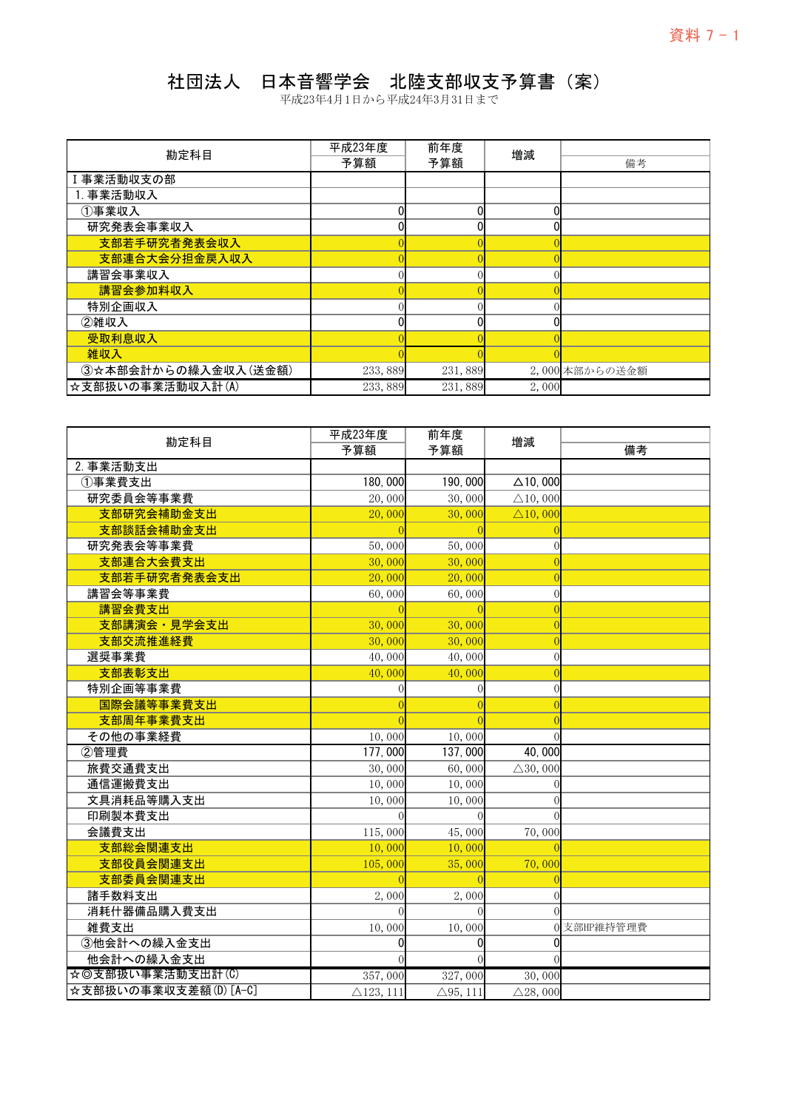## 社団法人 日本音響学会 北陸支部収支予算書(案)

| 勘定科目                | 平成23年度  | 前年度     | 増減    |                |
|---------------------|---------|---------|-------|----------------|
|                     | 予算額     | 予算額     |       | 備考             |
| Ⅰ事業活動収支の部           |         |         |       |                |
| 1. 事業活動収入           |         |         |       |                |
| ①事業収入               |         |         |       |                |
| 研究発表会事業収入           |         |         |       |                |
| 支部若手研究者発表会収入        |         |         |       |                |
| 支部連合大会分担金戻入収入       |         |         |       |                |
| 講習会事業収入             |         |         |       |                |
| 講習会参加料収入            |         |         |       |                |
| 特別企画収入              |         |         |       |                |
| ②雑収入                |         | ∩       |       |                |
| 受取利息収入              |         |         |       |                |
| 雑収入                 |         |         |       |                |
| 3☆本部会計からの繰入金収入(送金額) | 233,889 | 231,889 |       | 2,000 本部からの送金額 |
| ☆支部扱いの事業活動収入計(A)    | 233,889 | 231,889 | 2,000 |                |

| 勘定科目                  | 平成23年度               | 前年度                 | 増減                 |             |
|-----------------------|----------------------|---------------------|--------------------|-------------|
|                       | 予算額                  | 予算額                 |                    | 備考          |
| 2. 事業活動支出             |                      |                     |                    |             |
| ①事業費支出                | 180,000              | 190,000             | $\Delta$ 10,000    |             |
| 研究委員会等事業費             | 20,000               | 30,000              | $\triangle$ 10,000 |             |
| 支部研究会補助金支出            | 20,000               | 30,000              | $\triangle$ 10,000 |             |
| 支部談話会補助金支出            |                      |                     |                    |             |
| 研究発表会等事業費             | 50,000               | 50,000              |                    |             |
| 支部連合大会費支出             | 30,000               | 30,000              |                    |             |
| 支部若手研究者発表会支出          | 20,000               | 20,000              |                    |             |
| 講習会等事業費               | 60,000               | 60,000              | 0                  |             |
| 講習会費支出                |                      |                     |                    |             |
| 支部講演会·見学会支出           | 30,000               | 30,000              |                    |             |
| 支部交流推進経費              | 30,000               | 30,000              | 0                  |             |
| 選奨事業費                 | 40,000               | 40,000              | $\overline{0}$     |             |
| 支部表彰支出                | 40,000               | 40,000              | $\Omega$           |             |
| 特別企画等事業費              | $\Omega$             | C                   | $\Omega$           |             |
| 国際会議等事業費支出            |                      |                     | $\Omega$           |             |
| 支部周年事業費支出             |                      |                     |                    |             |
| その他の事業経費              | 10,000               | 10,000              |                    |             |
| 2管理費                  | 177,000              | 137,000             | 40,000             |             |
| 旅費交通費支出               | 30,000               | 60,000              | $\triangle$ 30,000 |             |
| 通信運搬費支出               | 10,000               | 10,000              |                    |             |
| 文具消耗品等購入支出            | 10,000               | 10,000              |                    |             |
| 印刷製本費支出               |                      |                     |                    |             |
| 会議費支出                 | 115,000              | 45,000              | 70,000             |             |
| 支部総会関連支出              | 10,000               | 10,000              |                    |             |
| 支部役員会関連支出             | 105,000              | 35,000              | 70,000             |             |
| 支部委員会関連支出             |                      |                     |                    |             |
| 諸手数料支出                | 2,000                | 2,000               | $\Omega$           |             |
| 消耗什器備品購入費支出           |                      |                     |                    |             |
| 雑費支出                  | 10,000               | 10,000              |                    | 0 支部HP維持管理費 |
| 3他会計への繰入金支出           | 0                    | 0                   | 0                  |             |
| 他会計への繰入金支出            | $\Omega$             | $\Omega$            |                    |             |
| ☆◎支部扱い事業活動支出計(C)      | 357,000              | 327,000             | 30,000             |             |
| ☆支部扱いの事業収支差額(D) [A-C] | $\triangle$ 123, 111 | $\triangle$ 95, 111 | $\triangle$ 28,000 |             |